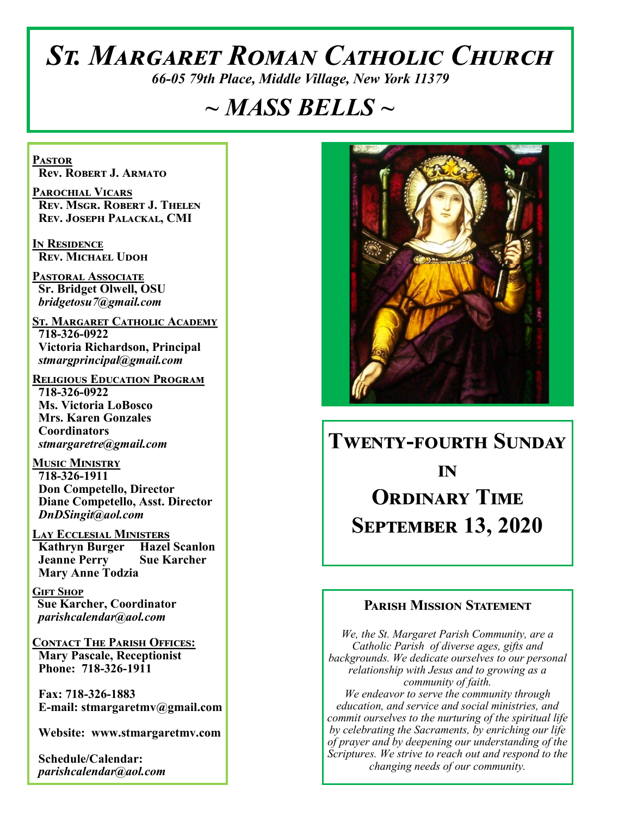# *St. Margaret Roman Catholic Church*

*66-05 79th Place, Middle Village, New York 11379*

# *~ MASS BELLS ~*

**Pastor Rev. Robert J. Armato**

**Parochial Vicars Rev. Msgr. Robert J. Thelen Rev. Joseph Palackal, CMI**

**In Residence Rev. Michael Udoh**

**Pastoral Associate Sr. Bridget Olwell, OSU**  *bridgetosu7@gmail.com*

**St. Margaret Catholic Academy 718-326-0922 Victoria Richardson, Principal**  *stmargprincipal@gmail.com*

**Religious Education Program 718-326-0922 Ms. Victoria LoBosco Mrs. Karen Gonzales Coordinators** *stmargaretre@gmail.com*

**Music Ministry 718-326-1911 Don Competello, Director Diane Competello, Asst. Director** *DnDSingit@aol.com*

**Lay Ecclesial Ministers Kathryn Burger Hazel Scanlon Jeanne Perry Sue Karcher Mary Anne Todzia**

**Gift Shop Sue Karcher, Coordinator** *parishcalendar@aol.com*

**Contact The Parish Offices: Mary Pascale, Receptionist Phone: 718-326-1911** 

 **Fax: 718-326-1883 E-mail: stmargaretmv@gmail.com**

 **Website: www.stmargaretmv.com**

 **Schedule/Calendar:** *parishcalendar@aol.com* 



# **Twenty-fourth Sunday in Ordinary Time September 13, 2020**

#### **Parish Mission Statement**

*We, the St. Margaret Parish Community, are a Catholic Parish of diverse ages, gifts and backgrounds. We dedicate ourselves to our personal relationship with Jesus and to growing as a community of faith. We endeavor to serve the community through education, and service and social ministries, and commit ourselves to the nurturing of the spiritual life by celebrating the Sacraments, by enriching our life of prayer and by deepening our understanding of the Scriptures. We strive to reach out and respond to the changing needs of our community.*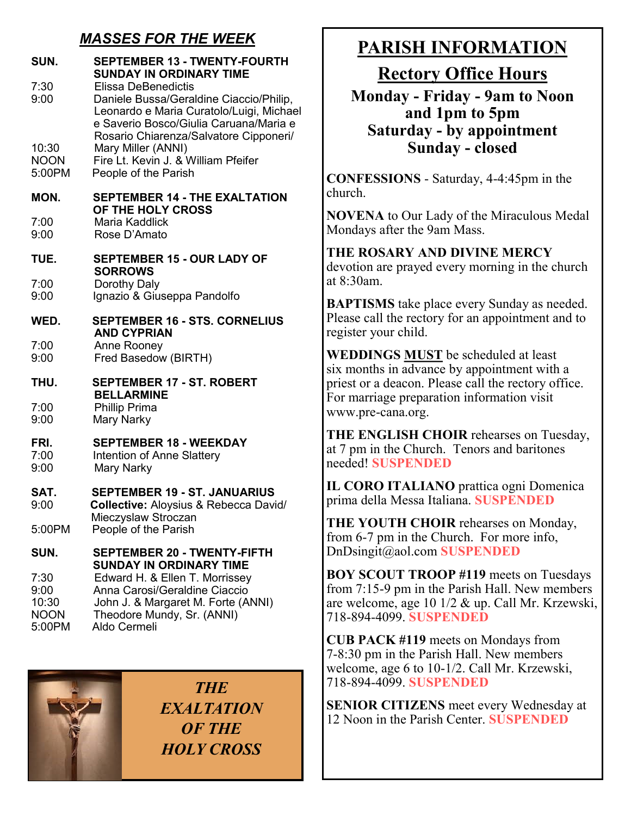## *MASSES FOR THE WEEK*

| SUN.         | <b>SEPTEMBER 13 - TWENTY-FOURTH</b><br><b>SUNDAY IN ORDINARY TIME</b>                                                                                                                                 |
|--------------|-------------------------------------------------------------------------------------------------------------------------------------------------------------------------------------------------------|
| 7:30<br>9:00 | <b>Elissa DeBenedictis</b><br>Daniele Bussa/Geraldine Ciaccio/Philip,<br>Leonardo e Maria Curatolo/Luigi, Michael<br>e Saverio Bosco/Giulia Caruana/Maria e<br>Rosario Chiarenza/Salvatore Cipponeri/ |
| 10:30        | Mary Miller (ANNI)                                                                                                                                                                                    |
| <b>NOON</b>  | Fire Lt. Kevin J. & William Pfeifer                                                                                                                                                                   |
| 5:00PM       | People of the Parish                                                                                                                                                                                  |
| MON.         | <b>SEPTEMBER 14 - THE EXALTATION</b><br>OF THE HOLY CROSS                                                                                                                                             |
| 7:00         | Maria Kaddlick                                                                                                                                                                                        |
| 9:00         | Rose D'Amato                                                                                                                                                                                          |
| <b>TUE.</b>  | <b>SEPTEMBER 15 - OUR LADY OF</b><br><b>SORROWS</b>                                                                                                                                                   |
| 7:00         | Dorothy Daly                                                                                                                                                                                          |
| 9:00         | Ignazio & Giuseppa Pandolfo                                                                                                                                                                           |
| WED.         | <b>SEPTEMBER 16 - STS. CORNELIUS</b><br><b>AND CYPRIAN</b>                                                                                                                                            |
| 7:00         | Anne Rooney                                                                                                                                                                                           |
| 9:00         | Fred Basedow (BIRTH)                                                                                                                                                                                  |
| THU.         | <b>SEPTEMBER 17 - ST. ROBERT</b><br><b>BELLARMINE</b>                                                                                                                                                 |
| 7:00         | <b>Phillip Prima</b>                                                                                                                                                                                  |
| 9:00         | Mary Narky                                                                                                                                                                                            |
| FRI.         | <b>SEPTEMBER 18 - WEEKDAY</b>                                                                                                                                                                         |
| 7:00         | <b>Intention of Anne Slattery</b>                                                                                                                                                                     |
| 9:00         | Mary Narky                                                                                                                                                                                            |
| SAT.         | <b>SEPTEMBER 19 - ST. JANUARIUS</b>                                                                                                                                                                   |
| 9:00         | Collective: Aloysius & Rebecca David/                                                                                                                                                                 |
| 5:00PM       | Mieczyslaw Stroczan<br>People of the Parish                                                                                                                                                           |
| SUN.         | <b>SEPTEMBER 20 - TWENTY-FIFTH</b><br><b>SUNDAY IN ORDINARY TIME</b>                                                                                                                                  |
| 7:30         | Edward H. & Ellen T. Morrissey                                                                                                                                                                        |
| 9:00         | Anna Carosi/Geraldine Ciaccio                                                                                                                                                                         |
| 10:30        | John J. & Margaret M. Forte (ANNI)                                                                                                                                                                    |
| <b>NOON</b>  | Theodore Mundy, Sr. (ANNI)                                                                                                                                                                            |
| 5:00PM       | Aldo Cermeli                                                                                                                                                                                          |

*THE EXALTATION OF THE HOLY CROSS*

## **PARISH INFORMATION**

**Rectory Office Hours** 

**Monday - Friday - 9am to Noon and 1pm to 5pm Saturday - by appointment Sunday - closed**

**CONFESSIONS** - Saturday, 4-4:45pm in the church.

**NOVENA** to Our Lady of the Miraculous Medal Mondays after the 9am Mass.

**THE ROSARY AND DIVINE MERCY** devotion are prayed every morning in the church at 8:30am.

**BAPTISMS** take place every Sunday as needed. Please call the rectory for an appointment and to register your child.

**WEDDINGS MUST** be scheduled at least six months in advance by appointment with a priest or a deacon. Please call the rectory office. For marriage preparation information visit www.pre-cana.org.

**THE ENGLISH CHOIR** rehearses on Tuesday, at 7 pm in the Church. Tenors and baritones needed! **SUSPENDED**

**IL CORO ITALIANO** prattica ogni Domenica prima della Messa Italiana. **SUSPENDED**

**THE YOUTH CHOIR** rehearses on Monday, from 6-7 pm in the Church. For more info, DnDsingit@aol.com **SUSPENDED**

**BOY SCOUT TROOP #119** meets on Tuesdays from 7:15-9 pm in the Parish Hall. New members are welcome, age 10 1/2 & up. Call Mr. Krzewski, 718-894-4099. **SUSPENDED**

**CUB PACK #119** meets on Mondays from 7-8:30 pm in the Parish Hall. New members welcome, age 6 to 10-1/2. Call Mr. Krzewski, 718-894-4099. **SUSPENDED**

**SENIOR CITIZENS** meet every Wednesday at 12 Noon in the Parish Center. **SUSPENDED**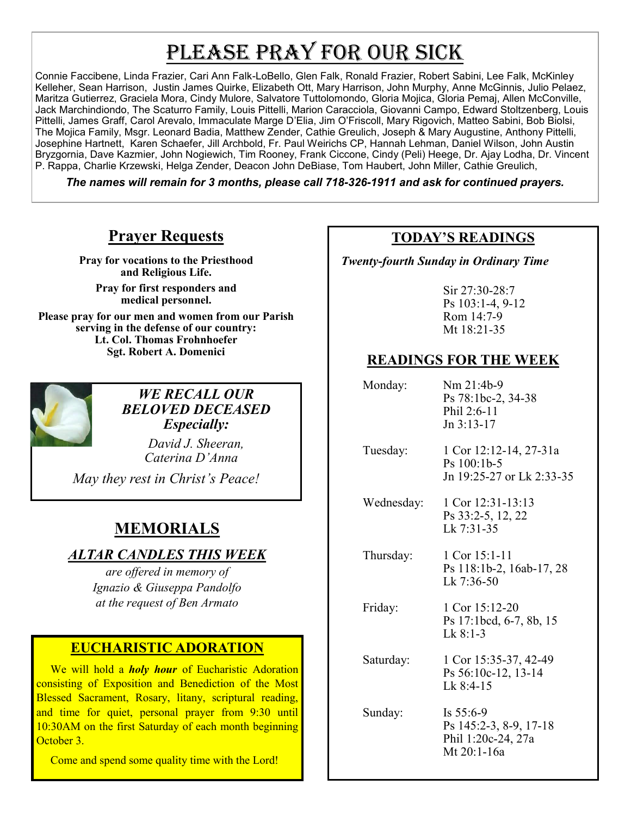# PLEASE PRAY FOR OUR SICK

Connie Faccibene, Linda Frazier, Cari Ann Falk-LoBello, Glen Falk, Ronald Frazier, Robert Sabini, Lee Falk, McKinley Kelleher, Sean Harrison, Justin James Quirke, Elizabeth Ott, Mary Harrison, John Murphy, Anne McGinnis, Julio Pelaez, Maritza Gutierrez, Graciela Mora, Cindy Mulore, Salvatore Tuttolomondo, Gloria Mojica, Gloria Pemaj, Allen McConville, Jack Marchindiondo, The Scaturro Family, Louis Pittelli, Marion Caracciola, Giovanni Campo, Edward Stoltzenberg, Louis Pittelli, James Graff, Carol Arevalo, Immaculate Marge D'Elia, Jim O'Friscoll, Mary Rigovich, Matteo Sabini, Bob Biolsi, The Mojica Family, Msgr. Leonard Badia, Matthew Zender, Cathie Greulich, Joseph & Mary Augustine, Anthony Pittelli, Josephine Hartnett, Karen Schaefer, Jill Archbold, Fr. Paul Weirichs CP, Hannah Lehman, Daniel Wilson, John Austin Bryzgornia, Dave Kazmier, John Nogiewich, Tim Rooney, Frank Ciccone, Cindy (Peli) Heege, Dr. Ajay Lodha, Dr. Vincent P. Rappa, Charlie Krzewski, Helga Zender, Deacon John DeBiase, Tom Haubert, John Miller, Cathie Greulich,

*The names will remain for 3 months, please call 718-326-1911 and ask for continued prayers.*

## **Prayer Requests**

**Pray for vocations to the Priesthood and Religious Life.** 

**Pray for first responders and medical personnel.**

**Please pray for our men and women from our Parish serving in the defense of our country: Lt. Col. Thomas Frohnhoefer Sgt. Robert A. Domenici** 



*WE RECALL OUR BELOVED DECEASED Especially:*

> *David J. Sheeran, Caterina D'Anna*

*May they rest in Christ's Peace!*

## **MEMORIALS**

### *ALTAR CANDLES THIS WEEK*

*are offered in memory of Ignazio & Giuseppa Pandolfo at the request of Ben Armato*

#### **EUCHARISTIC ADORATION**

 We will hold a *holy hour* of Eucharistic Adoration consisting of Exposition and Benediction of the Most Blessed Sacrament, Rosary, litany, scriptural reading, and time for quiet, personal prayer from 9:30 until 10:30AM on the first Saturday of each month beginning October 3.

Come and spend some quality time with the Lord!

### **TODAY'S READINGS**

 *Twenty-fourth Sunday in Ordinary Time*

Sir 27:30-28:7 Ps 103:1-4, 9-12 Rom 14:7-9 Mt 18:21-35

### **READINGS FOR THE WEEK**

 Monday: Nm 21:4b-9 Ps 78:1bc-2, 34-38 Phil 2:6-11 Jn 3:13-17 Tuesday: 1 Cor 12:12-14, 27-31a Ps 100:1b-5 Jn 19:25-27 or Lk 2:33-35 Wednesday: 1 Cor 12:31-13:13 Ps 33:2-5, 12, 22 Lk 7:31-35

 Thursday: 1 Cor 15:1-11 Ps 118:1b-2, 16ab-17, 28 Lk 7:36-50

Friday: 1 Cor 15:12-20 Ps 17:1bcd, 6-7, 8b, 15 Lk 8:1-3

 Saturday: 1 Cor 15:35-37, 42-49 Ps 56:10c-12, 13-14 Lk 8:4-15

 Sunday: Is 55:6-9 Ps 145:2-3, 8-9, 17-18 Phil 1:20c-24, 27a Mt 20:1-16a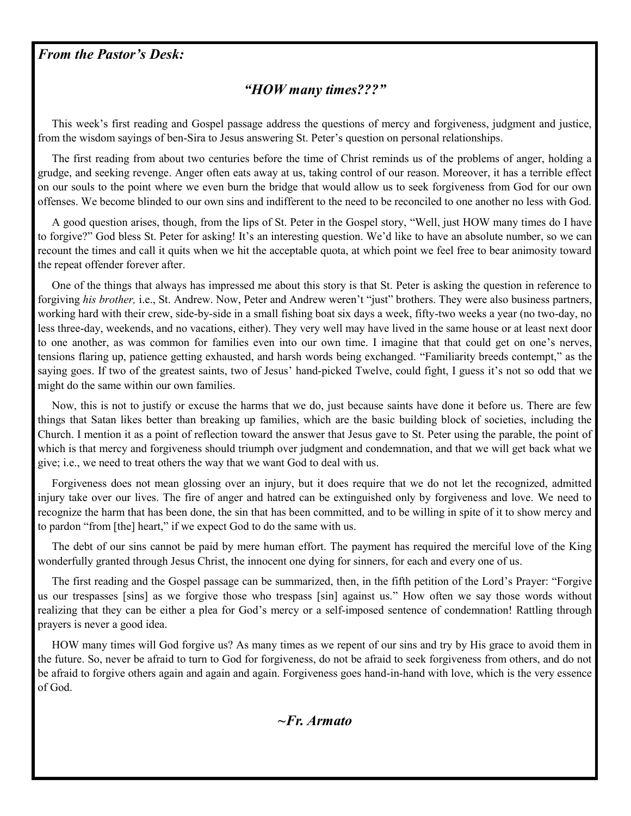#### *From the Pastor's Desk:*

#### *"HOW many times???"*

 This week's first reading and Gospel passage address the questions of mercy and forgiveness, judgment and justice, from the wisdom sayings of ben-Sira to Jesus answering St. Peter's question on personal relationships.

 The first reading from about two centuries before the time of Christ reminds us of the problems of anger, holding a grudge, and seeking revenge. Anger often eats away at us, taking control of our reason. Moreover, it has a terrible effect on our souls to the point where we even burn the bridge that would allow us to seek forgiveness from God for our own offenses. We become blinded to our own sins and indifferent to the need to be reconciled to one another no less with God.

 A good question arises, though, from the lips of St. Peter in the Gospel story, "Well, just HOW many times do I have to forgive?" God bless St. Peter for asking! It's an interesting question. We'd like to have an absolute number, so we can recount the times and call it quits when we hit the acceptable quota, at which point we feel free to bear animosity toward the repeat offender forever after.

 One of the things that always has impressed me about this story is that St. Peter is asking the question in reference to forgiving *his brother,* i.e., St. Andrew. Now, Peter and Andrew weren't "just" brothers. They were also business partners, working hard with their crew, side-by-side in a small fishing boat six days a week, fifty-two weeks a year (no two-day, no less three-day, weekends, and no vacations, either). They very well may have lived in the same house or at least next door to one another, as was common for families even into our own time. I imagine that that could get on one's nerves, tensions flaring up, patience getting exhausted, and harsh words being exchanged. "Familiarity breeds contempt," as the saying goes. If two of the greatest saints, two of Jesus' hand-picked Twelve, could fight, I guess it's not so odd that we might do the same within our own families.

 Now, this is not to justify or excuse the harms that we do, just because saints have done it before us. There are few things that Satan likes better than breaking up families, which are the basic building block of societies, including the Church. I mention it as a point of reflection toward the answer that Jesus gave to St. Peter using the parable, the point of which is that mercy and forgiveness should triumph over judgment and condemnation, and that we will get back what we give; i.e., we need to treat others the way that we want God to deal with us.

 Forgiveness does not mean glossing over an injury, but it does require that we do not let the recognized, admitted injury take over our lives. The fire of anger and hatred can be extinguished only by forgiveness and love. We need to recognize the harm that has been done, the sin that has been committed, and to be willing in spite of it to show mercy and to pardon "from [the] heart," if we expect God to do the same with us.

 The debt of our sins cannot be paid by mere human effort. The payment has required the merciful love of the King wonderfully granted through Jesus Christ, the innocent one dying for sinners, for each and every one of us.

 The first reading and the Gospel passage can be summarized, then, in the fifth petition of the Lord's Prayer: "Forgive us our trespasses [sins] as we forgive those who trespass [sin] against us." How often we say those words without realizing that they can be either a plea for God's mercy or a self-imposed sentence of condemnation! Rattling through prayers is never a good idea.

 HOW many times will God forgive us? As many times as we repent of our sins and try by His grace to avoid them in the future. So, never be afraid to turn to God for forgiveness, do not be afraid to seek forgiveness from others, and do not be afraid to forgive others again and again and again. Forgiveness goes hand-in-hand with love, which is the very essence of God.

#### *~Fr. Armato*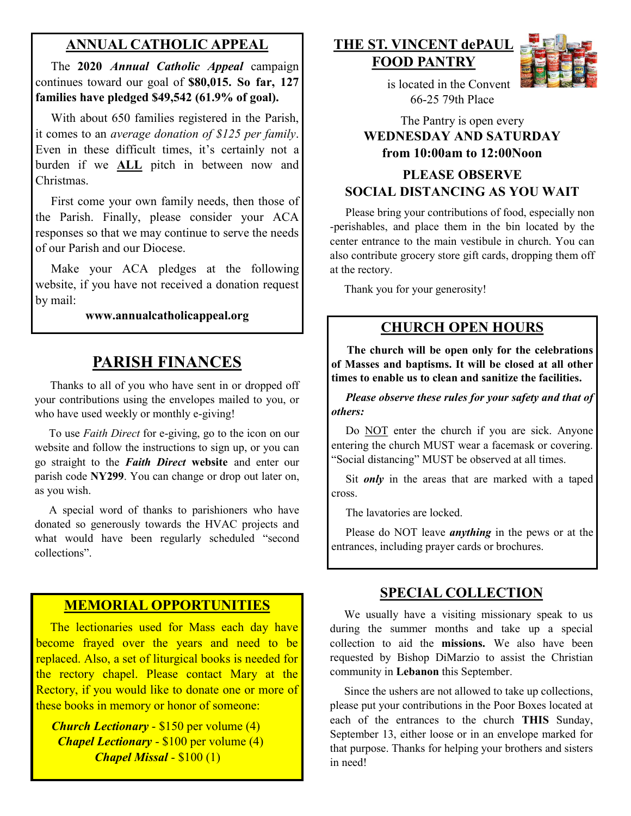### **ANNUAL CATHOLIC APPEAL**

 The **2020** *Annual Catholic Appeal* campaign continues toward our goal of **\$80,015. So far, 127 families have pledged \$49,542 (61.9% of goal).**

 With about 650 families registered in the Parish, it comes to an *average donation of \$125 per family*. Even in these difficult times, it's certainly not a burden if we **ALL** pitch in between now and Christmas.

 First come your own family needs, then those of the Parish. Finally, please consider your ACA responses so that we may continue to serve the needs of our Parish and our Diocese.

Make your ACA pledges at the following website, if you have not received a donation request by mail:

#### **www.annualcatholicappeal.org**

### **PARISH FINANCES**

 Thanks to all of you who have sent in or dropped off your contributions using the envelopes mailed to you, or who have used weekly or monthly e-giving!

 To use *Faith Direct* for e-giving, go to the icon on our website and follow the instructions to sign up, or you can go straight to the *Faith Direct* **website** and enter our parish code **NY299**. You can change or drop out later on, as you wish.

 A special word of thanks to parishioners who have donated so generously towards the HVAC projects and what would have been regularly scheduled "second collections".

### **MEMORIAL OPPORTUNITIES**

 The lectionaries used for Mass each day have become frayed over the years and need to be replaced. Also, a set of liturgical books is needed for the rectory chapel. Please contact Mary at the Rectory, if you would like to donate one or more of these books in memory or honor of someone:

 *Church Lectionary* - \$150 per volume (4) *Chapel Lectionary* - \$100 per volume (4) *Chapel Missal* - \$100 (1)

#### **THE ST. VINCENT dePAUL FOOD PANTRY**



 is located in the Convent 66-25 79th Place

#### The Pantry is open every **WEDNESDAY AND SATURDAY from 10:00am to 12:00Noon**

#### **PLEASE OBSERVE SOCIAL DISTANCING AS YOU WAIT**

 Please bring your contributions of food, especially non -perishables, and place them in the bin located by the center entrance to the main vestibule in church. You can also contribute grocery store gift cards, dropping them off at the rectory.

Thank you for your generosity!

#### **CHURCH OPEN HOURS**

 **The church will be open only for the celebrations of Masses and baptisms. It will be closed at all other times to enable us to clean and sanitize the facilities.** 

 *Please observe these rules for your safety and that of others:* 

Do NOT enter the church if you are sick. Anyone entering the church MUST wear a facemask or covering. "Social distancing" MUST be observed at all times.

Sit *only* in the areas that are marked with a taped cross.

The lavatories are locked.

 Please do NOT leave *anything* in the pews or at the entrances, including prayer cards or brochures.

#### **SPECIAL COLLECTION**

 We usually have a visiting missionary speak to us during the summer months and take up a special collection to aid the **missions.** We also have been requested by Bishop DiMarzio to assist the Christian community in **Lebanon** this September.

 Since the ushers are not allowed to take up collections, please put your contributions in the Poor Boxes located at each of the entrances to the church **THIS** Sunday, September 13, either loose or in an envelope marked for that purpose. Thanks for helping your brothers and sisters in need!